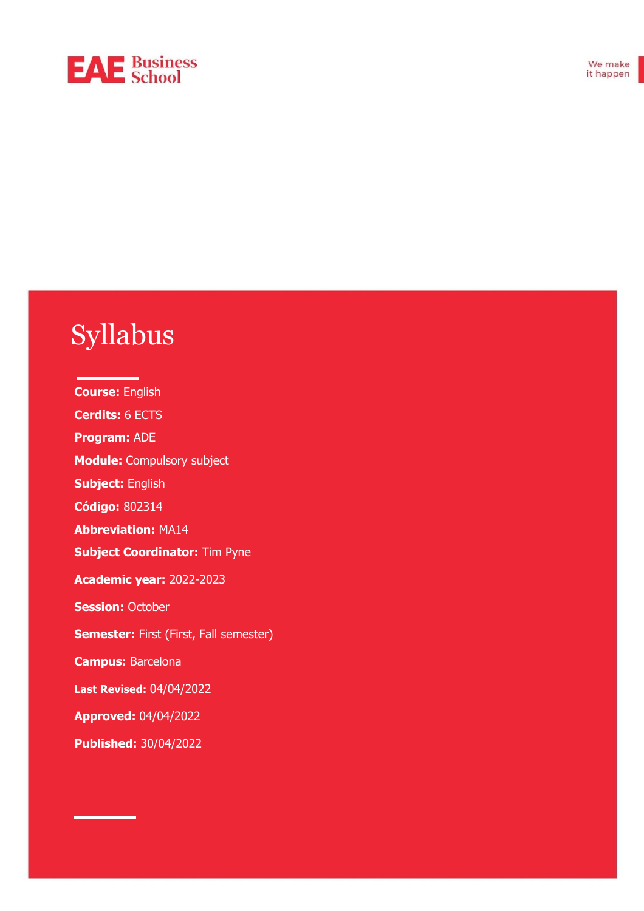# **EAE** Business

# Syllabus

**Course:** English **Cerdits:** 6 ECTS **Program:** ADE **Module:** Compulsory subject **Subject:** English **Código:** 802314 **Abbreviation:** MA14 **Subject Coordinator:** Tim Pyne **Academic year:** 2022-2023 **Session: October Semester:** First (First, Fall semester) **Campus:** Barcelona **Last Revised:** 04/04/2022 **Approved:** 04/04/2022 **Published:** 30/04/2022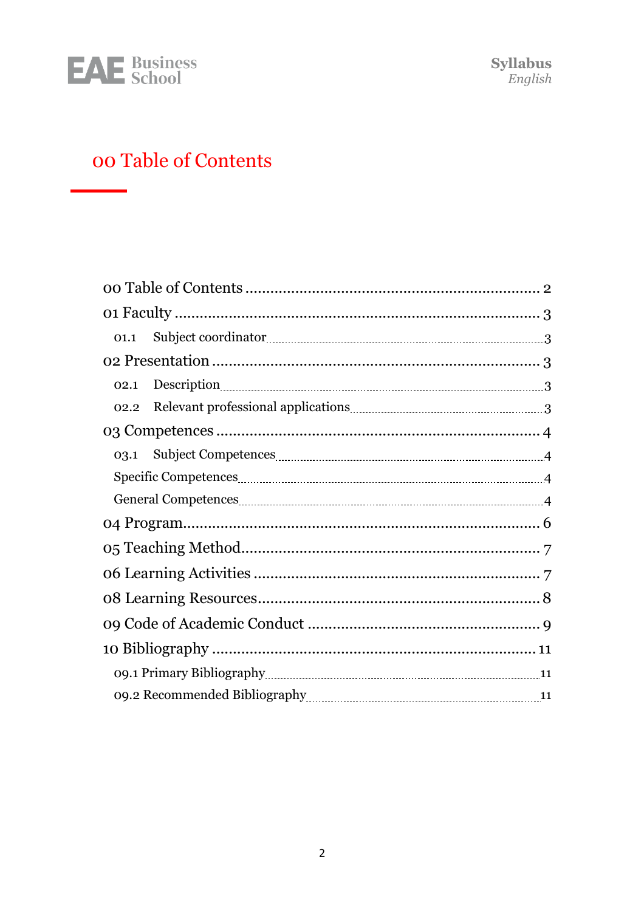

# <span id="page-1-0"></span>00 Table of Contents

| 01.1                                                                                                                                                                                                                                        |  |  |
|---------------------------------------------------------------------------------------------------------------------------------------------------------------------------------------------------------------------------------------------|--|--|
|                                                                                                                                                                                                                                             |  |  |
| 02.1                                                                                                                                                                                                                                        |  |  |
| Relevant professional applications <b>manufactures</b> and the set of the set of the set of the set of the set of the set of the set of the set of the set of the set of the set of the set of the set of the set of the set of the<br>02.2 |  |  |
|                                                                                                                                                                                                                                             |  |  |
|                                                                                                                                                                                                                                             |  |  |
|                                                                                                                                                                                                                                             |  |  |
|                                                                                                                                                                                                                                             |  |  |
|                                                                                                                                                                                                                                             |  |  |
|                                                                                                                                                                                                                                             |  |  |
|                                                                                                                                                                                                                                             |  |  |
|                                                                                                                                                                                                                                             |  |  |
|                                                                                                                                                                                                                                             |  |  |
|                                                                                                                                                                                                                                             |  |  |
|                                                                                                                                                                                                                                             |  |  |
|                                                                                                                                                                                                                                             |  |  |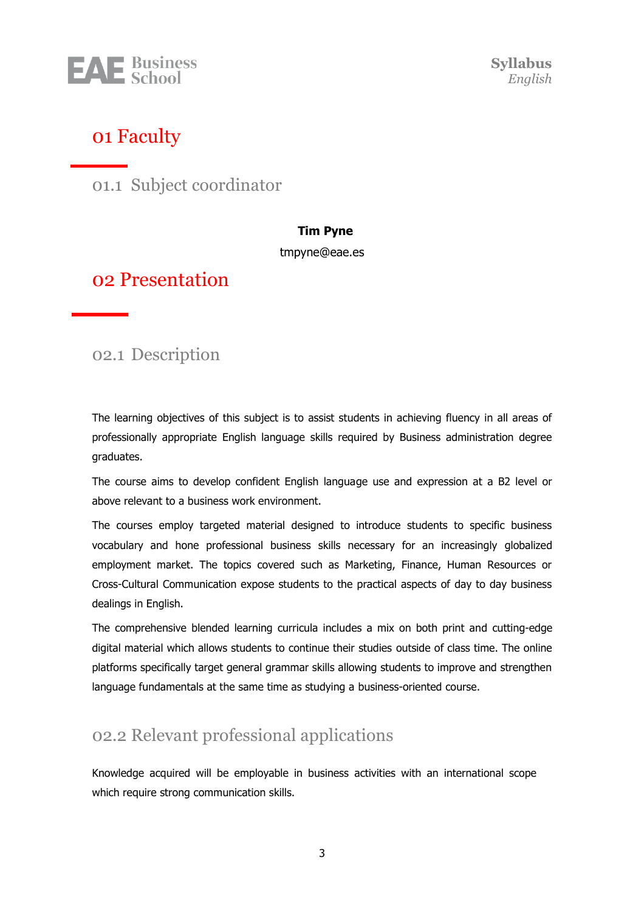

**Syllabus** *English*

### <span id="page-2-0"></span>01 Faculty

<span id="page-2-1"></span>01.1 Subject coordinator

#### **Tim Pyne**

[tmpyne@eae.es](mailto:tmpyne@eae.es)

#### <span id="page-2-2"></span>02 Presentation

<span id="page-2-3"></span>02.1 Description

The learning objectives of this subject is to assist students in achieving fluency in all areas of professionally appropriate English language skills required by Business administration degree graduates.

The course aims to develop confident English language use and expression at a B2 level or above relevant to a business work environment.

The courses employ targeted material designed to introduce students to specific business vocabulary and hone professional business skills necessary for an increasingly globalized employment market. The topics covered such as Marketing, Finance, Human Resources or Cross-Cultural Communication expose students to the practical aspects of day to day business dealings in English.

The comprehensive blended learning curricula includes a mix on both print and cutting-edge digital material which allows students to continue their studies outside of class time. The online platforms specifically target general grammar skills allowing students to improve and strengthen language fundamentals at the same time as studying a business-oriented course.

#### <span id="page-2-4"></span>02.2 Relevant professional applications

Knowledge acquired will be employable in business activities with an international scope which require strong communication skills.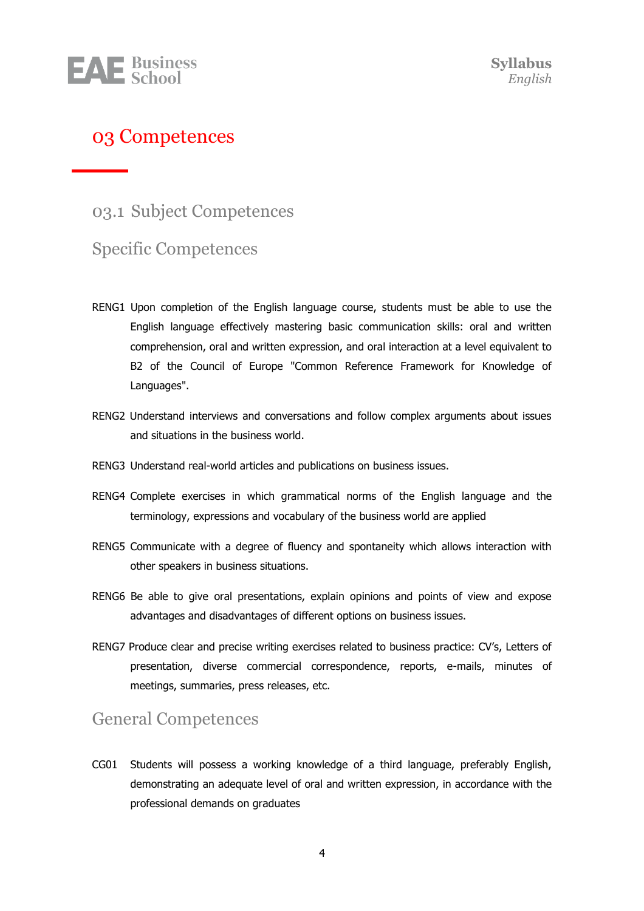

#### <span id="page-3-0"></span>03 Competences

<span id="page-3-1"></span>03.1 Subject Competences

#### <span id="page-3-2"></span>Specific Competences

- RENG1 Upon completion of the English language course, students must be able to use the English language effectively mastering basic communication skills: oral and written comprehension, oral and written expression, and oral interaction at a level equivalent to B2 of the Council of Europe "Common Reference Framework for Knowledge of Languages".
- RENG2 Understand interviews and conversations and follow complex arguments about issues and situations in the business world.
- RENG3 Understand real-world articles and publications on business issues.
- RENG4 Complete exercises in which grammatical norms of the English language and the terminology, expressions and vocabulary of the business world are applied
- RENG5 Communicate with a degree of fluency and spontaneity which allows interaction with other speakers in business situations.
- RENG6 Be able to give oral presentations, explain opinions and points of view and expose advantages and disadvantages of different options on business issues.
- RENG7 Produce clear and precise writing exercises related to business practice: CV's, Letters of presentation, diverse commercial correspondence, reports, e-mails, minutes of meetings, summaries, press releases, etc.

#### <span id="page-3-3"></span>General Competences

CG01 Students will possess a working knowledge of a third language, preferably English, demonstrating an adequate level of oral and written expression, in accordance with the professional demands on graduates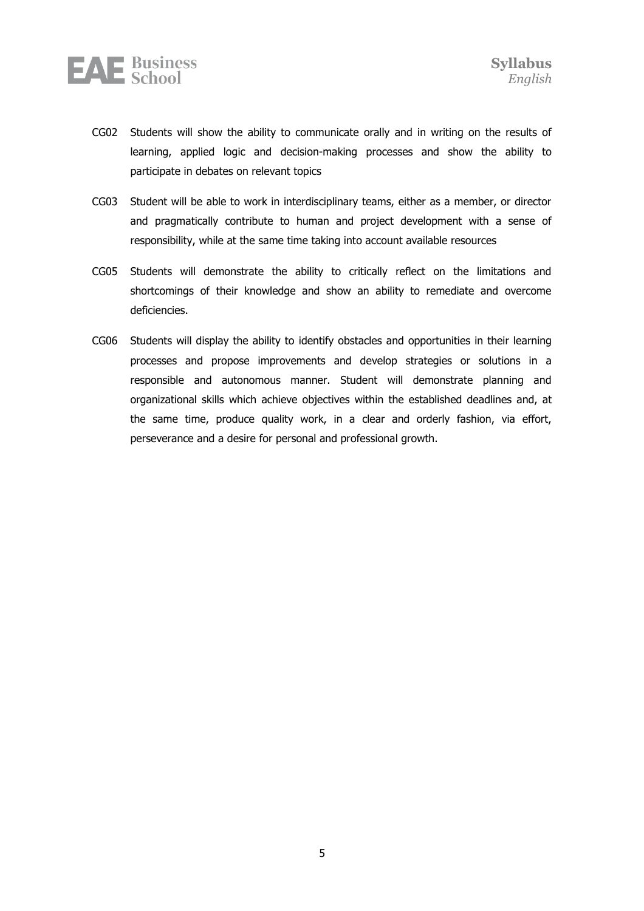

- CG02 Students will show the ability to communicate orally and in writing on the results of learning, applied logic and decision-making processes and show the ability to participate in debates on relevant topics
- CG03 Student will be able to work in interdisciplinary teams, either as a member, or director and pragmatically contribute to human and project development with a sense of responsibility, while at the same time taking into account available resources
- CG05 Students will demonstrate the ability to critically reflect on the limitations and shortcomings of their knowledge and show an ability to remediate and overcome deficiencies.
- CG06 Students will display the ability to identify obstacles and opportunities in their learning processes and propose improvements and develop strategies or solutions in a responsible and autonomous manner. Student will demonstrate planning and organizational skills which achieve objectives within the established deadlines and, at the same time, produce quality work, in a clear and orderly fashion, via effort, perseverance and a desire for personal and professional growth.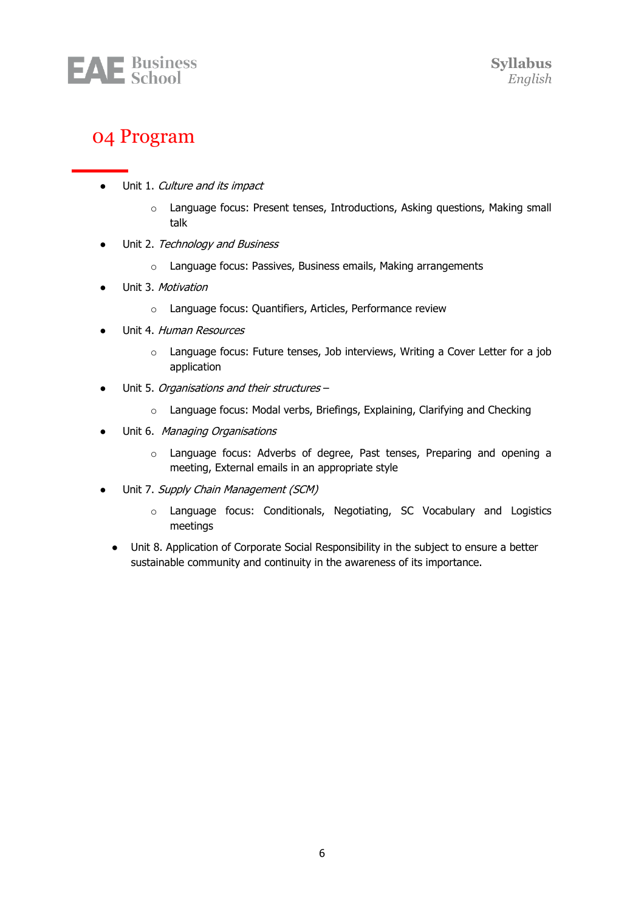

### <span id="page-5-0"></span>04 Program

- Unit 1. Culture and its impact
	- o Language focus: Present tenses, Introductions, Asking questions, Making small talk
- Unit 2. Technology and Business
	- o Language focus: Passives, Business emails, Making arrangements
- Unit 3. Motivation
	- o Language focus: Quantifiers, Articles, Performance review
- Unit 4. Human Resources
	- o Language focus: Future tenses, Job interviews, Writing a Cover Letter for a job application
- Unit 5. Organisations and their structures
	- o Language focus: Modal verbs, Briefings, Explaining, Clarifying and Checking
- Unit 6. Managing Organisations
	- o Language focus: Adverbs of degree, Past tenses, Preparing and opening a meeting, External emails in an appropriate style
- Unit 7. Supply Chain Management (SCM)
	- o Language focus: Conditionals, Negotiating, SC Vocabulary and Logistics meetings
	- Unit 8. Application of Corporate Social Responsibility in the subject to ensure a better sustainable community and continuity in the awareness of its importance.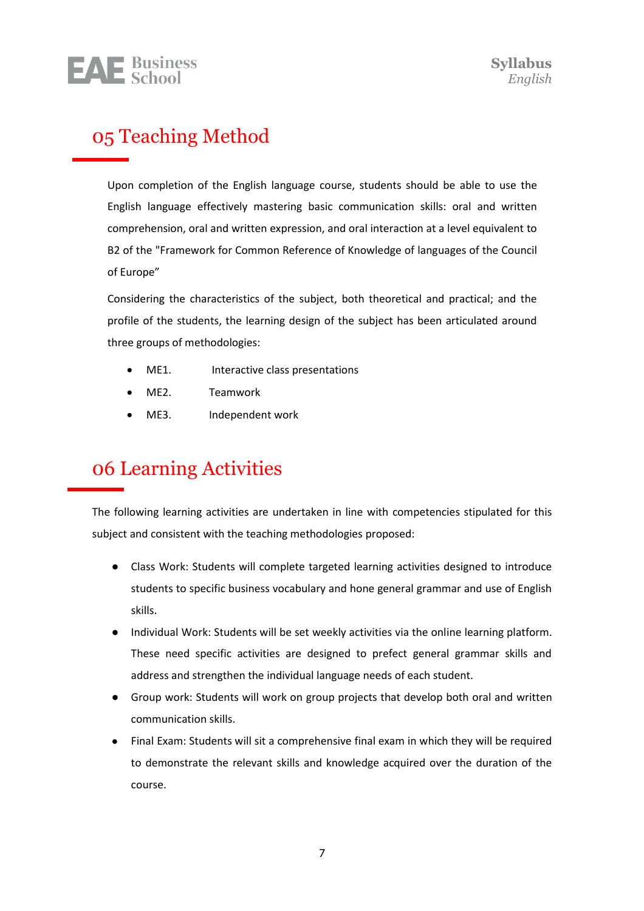

# <span id="page-6-0"></span>05 Teaching Method

Upon completion of the English language course, students should be able to use the English language effectively mastering basic communication skills: oral and written comprehension, oral and written expression, and oral interaction at a level equivalent to B2 of the "Framework for Common Reference of Knowledge of languages of the Council of Europe"

Considering the characteristics of the subject, both theoretical and practical; and the profile of the students, the learning design of the subject has been articulated around three groups of methodologies:

- ME1. Interactive class presentations
- ME2. Teamwork
- ME3. Independent work

# <span id="page-6-1"></span>06 Learning Activities

The following learning activities are undertaken in line with competencies stipulated for this subject and consistent with the teaching methodologies proposed:

- Class Work: Students will complete targeted learning activities designed to introduce students to specific business vocabulary and hone general grammar and use of English skills.
- Individual Work: Students will be set weekly activities via the online learning platform. These need specific activities are designed to prefect general grammar skills and address and strengthen the individual language needs of each student.
- Group work: Students will work on group projects that develop both oral and written communication skills.
- Final Exam: Students will sit a comprehensive final exam in which they will be required to demonstrate the relevant skills and knowledge acquired over the duration of the course.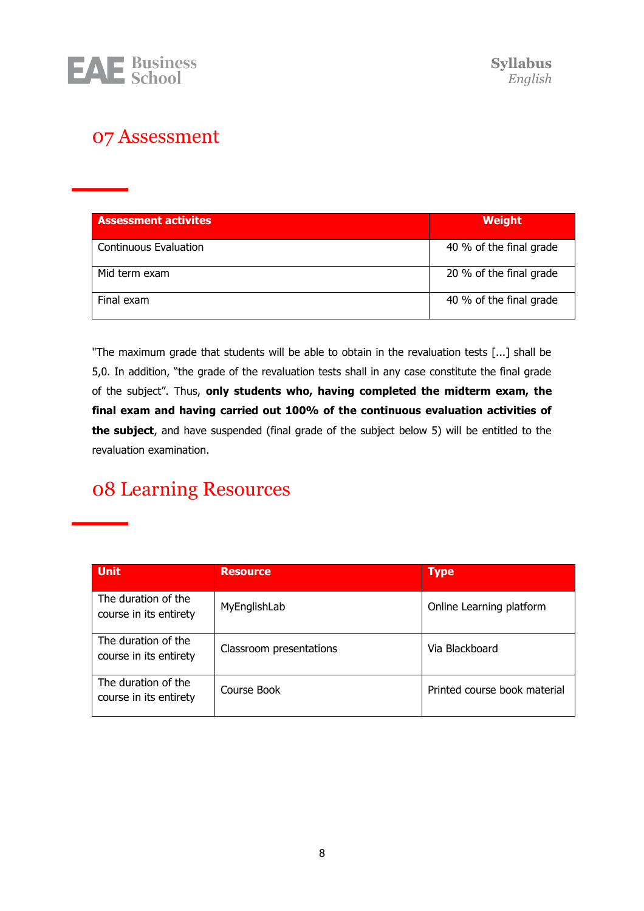

## 07 Assessment

| <b>Assessment activites</b>  | Weight                  |
|------------------------------|-------------------------|
| <b>Continuous Evaluation</b> | 40 % of the final grade |
| Mid term exam                | 20 % of the final grade |
| Final exam                   | 40 % of the final grade |

"The maximum grade that students will be able to obtain in the revaluation tests [...] shall be 5,0. In addition, "the grade of the revaluation tests shall in any case constitute the final grade of the subject". Thus, **only students who, having completed the midterm exam, the final exam and having carried out 100% of the continuous evaluation activities of the subject**, and have suspended (final grade of the subject below 5) will be entitled to the revaluation examination.

# <span id="page-7-0"></span>08 Learning Resources

| <b>Unit</b>                                   | <b>Resource</b>         | <b>Type</b>                  |
|-----------------------------------------------|-------------------------|------------------------------|
| The duration of the<br>course in its entirety | MyEnglishLab            | Online Learning platform     |
| The duration of the<br>course in its entirety | Classroom presentations | Via Blackboard               |
| The duration of the<br>course in its entirety | Course Book             | Printed course book material |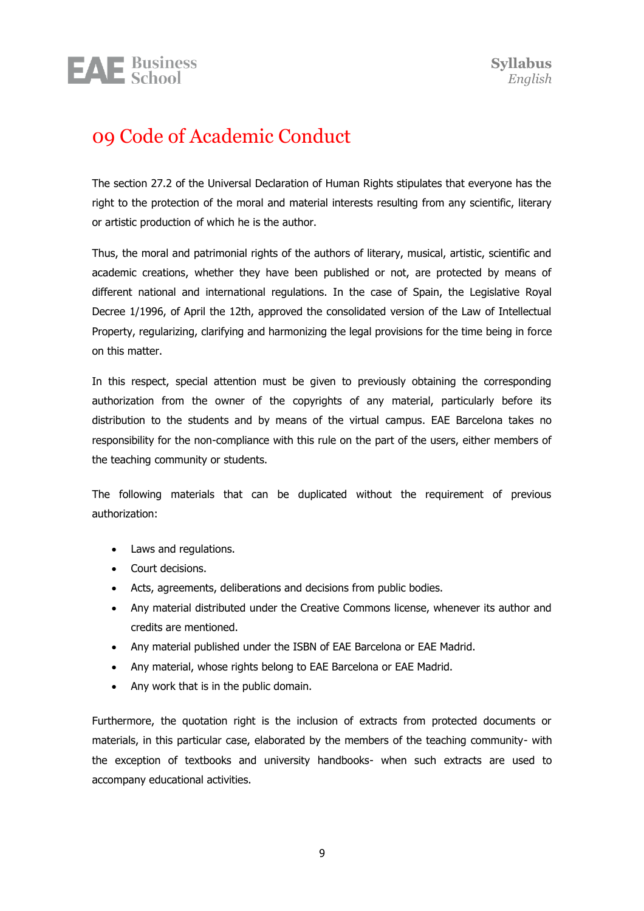# <span id="page-8-0"></span>09 Code of Academic Conduct

**EAE** Business

The section 27.2 of the Universal Declaration of Human Rights stipulates that everyone has the right to the protection of the moral and material interests resulting from any scientific, literary or artistic production of which he is the author.

Thus, the moral and patrimonial rights of the authors of literary, musical, artistic, scientific and academic creations, whether they have been published or not, are protected by means of different national and international regulations. In the case of Spain, the Legislative Royal Decree 1/1996, of April the 12th, approved the consolidated version of the Law of Intellectual Property, regularizing, clarifying and harmonizing the legal provisions for the time being in force on this matter.

In this respect, special attention must be given to previously obtaining the corresponding authorization from the owner of the copyrights of any material, particularly before its distribution to the students and by means of the virtual campus. EAE Barcelona takes no responsibility for the non-compliance with this rule on the part of the users, either members of the teaching community or students.

The following materials that can be duplicated without the requirement of previous authorization:

- Laws and regulations.
- Court decisions.
- Acts, agreements, deliberations and decisions from public bodies.
- Any material distributed under the Creative Commons license, whenever its author and credits are mentioned.
- Any material published under the ISBN of EAE Barcelona or EAE Madrid.
- Any material, whose rights belong to EAE Barcelona or EAE Madrid.
- Any work that is in the public domain.

Furthermore, the quotation right is the inclusion of extracts from protected documents or materials, in this particular case, elaborated by the members of the teaching community- with the exception of textbooks and university handbooks- when such extracts are used to accompany educational activities.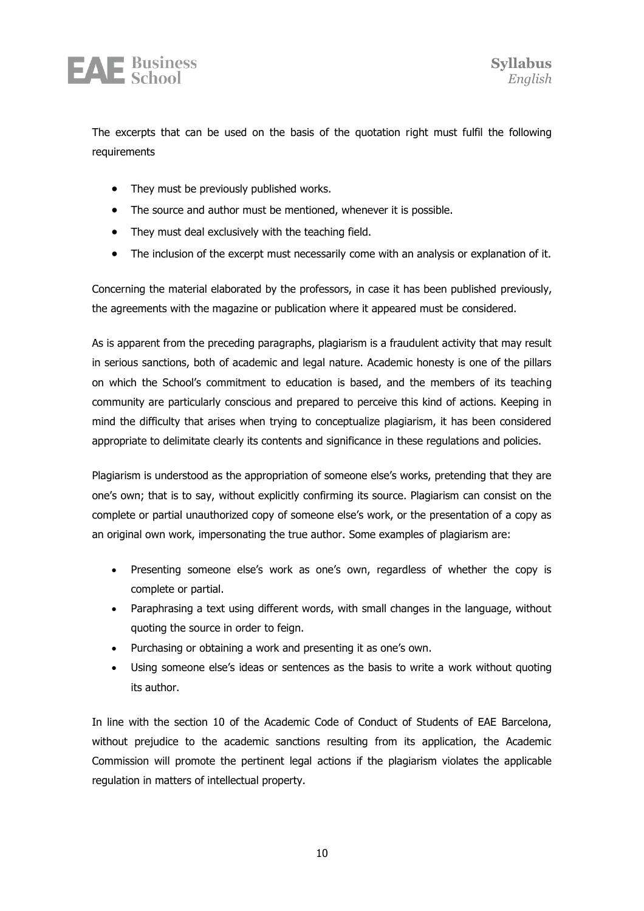

The excerpts that can be used on the basis of the quotation right must fulfil the following requirements

- They must be previously published works.
- The source and author must be mentioned, whenever it is possible.
- They must deal exclusively with the teaching field.
- The inclusion of the excerpt must necessarily come with an analysis or explanation of it.

Concerning the material elaborated by the professors, in case it has been published previously, the agreements with the magazine or publication where it appeared must be considered.

As is apparent from the preceding paragraphs, plagiarism is a fraudulent activity that may result in serious sanctions, both of academic and legal nature. Academic honesty is one of the pillars on which the School's commitment to education is based, and the members of its teaching community are particularly conscious and prepared to perceive this kind of actions. Keeping in mind the difficulty that arises when trying to conceptualize plagiarism, it has been considered appropriate to delimitate clearly its contents and significance in these regulations and policies.

Plagiarism is understood as the appropriation of someone else's works, pretending that they are one's own; that is to say, without explicitly confirming its source. Plagiarism can consist on the complete or partial unauthorized copy of someone else's work, or the presentation of a copy as an original own work, impersonating the true author. Some examples of plagiarism are:

- Presenting someone else's work as one's own, regardless of whether the copy is complete or partial.
- Paraphrasing a text using different words, with small changes in the language, without quoting the source in order to feign.
- Purchasing or obtaining a work and presenting it as one's own.
- Using someone else's ideas or sentences as the basis to write a work without quoting its author.

In line with the section 10 of the Academic Code of Conduct of Students of EAE Barcelona, without prejudice to the academic sanctions resulting from its application, the Academic Commission will promote the pertinent legal actions if the plagiarism violates the applicable regulation in matters of intellectual property.